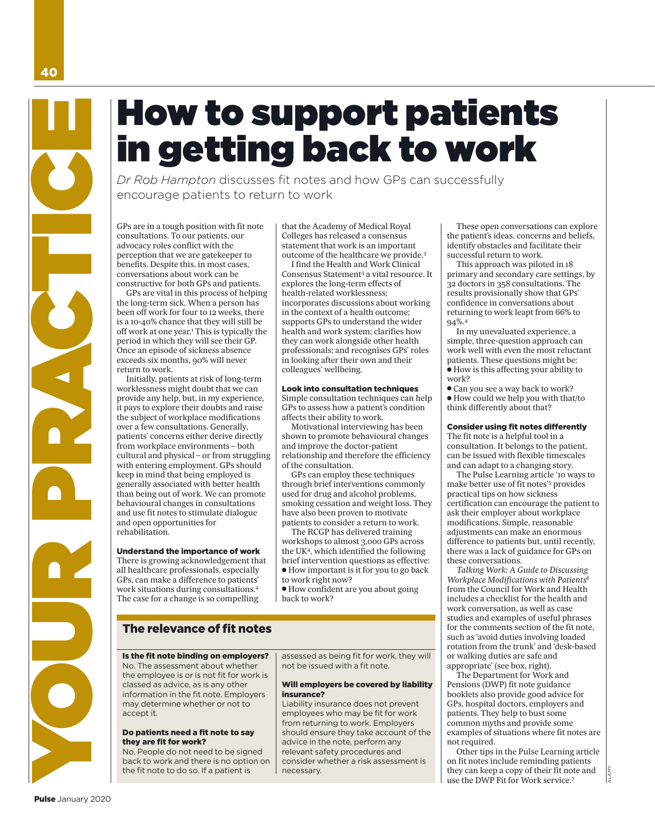# How to support patients in getting back to work

*Dr Rob Hampton* discusses fit notes and how GPs can successfully encourage patients to return to work

*GPs are in a tough position with fit note consultations. To our patients, our advocacy roles conflict with the perception that we are gatekeeper to benefits. Despite this, in most cases, conversations about work can be constructive for both GPs and patients.*

*GPs are vital in this process of helping the long-term sick. When a person has been off work for four to 12 weeks, there is a 10-40% chance that they will still be off work at one year.1 This is typically the period in which they will see their GP. Once an episode of sickness absence exceeds six months, 90% will never return to work.*

*Initially, patients at risk of long-term worklessness might doubt that we can provide any help, but, in my experience, it pays to explore their doubts and raise the subject of workplace modifications over a few consultations. Generally, patients' concerns either derive directly from workplace environments – both cultural and physical – or from struggling with entering employment. GPs should keep in mind that being employed is generally associated with better health than being out of work. We can promote behavioural changes in consultations and use fit notes to stimulate dialogue and open opportunities for rehabilitation.*  **PULSE AND MANUSE CONSULTER**<br>
Dr. Rob Hampton discusse<br>
encourage patients to return<br>
change to contrade and the fit note binding in the constant of the fit is the fit in the constant of the fit is the patients. Begins thi

# Understand the importance of work

*There is growing acknowledgement that all healthcare professionals, especially GPs, can make a difference to patients' work situations during consultations.2 The case for a change is so compelling* 

# The relevance of fit notes

No. The assessment about whether the employee is or is not fit for work is classed as advice, as is any other information in the fit note. Employers may determine whether or not to accept it.

# Do patients need a fit note to say they are fit for work?

No. People do not need to be signed back to work and there is no option on the fit note to do so. If a patient is

*that the Academy of Medical Royal Colleges has released a consensus statement that work is an important outcome of the healthcare we provide.3* 

*I find the Health and Work Clinical Consensus Statement3 a vital resource. It explores the long-term effects of health-related worklessness; incorporates discussions about working in the context of a health outcome; supports GPs to understand the wider health and work system; clarifies how they can work alongside other health professionals; and recognises GPs' roles in looking after their own and their colleagues' wellbeing.*

# Look into consultation techniques

*Simple consultation techniques can help GPs to assess how a patient's condition affects their ability to work.* 

*Motivational interviewing has been shown to promote behavioural changes and improve the doctor-patient relationship and therefore the efficiency of the consultation.*

*GPs can employ these techniques through brief interventions commonly used for drug and alcohol problems, smoking cessation and weight loss. They have also been proven to motivate patients to consider a return to work.* 

*The RCGP has delivered training workshops to almost 3,000 GPs across the UK4, which identified the following brief intervention questions as effective: • How important is it for you to go back to work right now?*

*• How confident are you about going back to work?* 

assessed as being fit for work, they will not be issued with a fit note.

# Will employers be covered by liability insurance?

Liability insurance does not prevent employees who may be fit for work from returning to work. Employers should ensure they take account of the advice in the note, perform any relevant safety procedures and consider whether a risk assessment is necessary.

*These open conversations can explore the patient's ideas, concerns and beliefs, identify obstacles and facilitate their successful return to work.*

*This approach was piloted in 18 primary and secondary care settings, by 32 doctors in 358 consultations. The results provisionally show that GPs' confidence in conversations about returning to work leapt from 66% to 94%.4*

*In my unevaluated experience, a simple, three-question approach can work well with even the most reluctant patients. These questions might be: • How is this affecting your ability to work?* 

*• Can you see a way back to work? • How could we help you with that/to think differently about that?* 

# Consider using fit notes differently

*The fit note is a helpful tool in a consultation. It belongs to the patient, can be issued with flexible timescales and can adapt to a changing story.*

*The Pulse Learning article '10 ways to make better use of fit notes'5 provides practical tips on how sickness certification can encourage the patient to ask their employer about workplace modifications. Simple, reasonable adjustments can make an enormous difference to patients but, until recently, there was a lack of guidance for GPs on these conversations.* 

*Talking Work: A Guide to Discussing Workplace Modifications with Patients<sup>6</sup> from the Council for Work and Health includes a checklist for the health and work conversation, as well as case studies and examples of useful phrases for the comments section of the fit note, such as 'avoid duties involving loaded rotation from the trunk' and 'desk-based or walking duties are safe and appropriate' (see box, right).* 

*The Department for Work and Pensions (DWP) fit note guidance booklets also provide good advice for GPs, hospital doctors, employers and patients. They help to bust some common myths and provide some examples of situations where fit notes are not required.*

*Other tips in the Pulse Learning article on fit notes include reminding patients they can keep a copy of their fit note and use the DWP Fit for Work service.7*

ALAMY